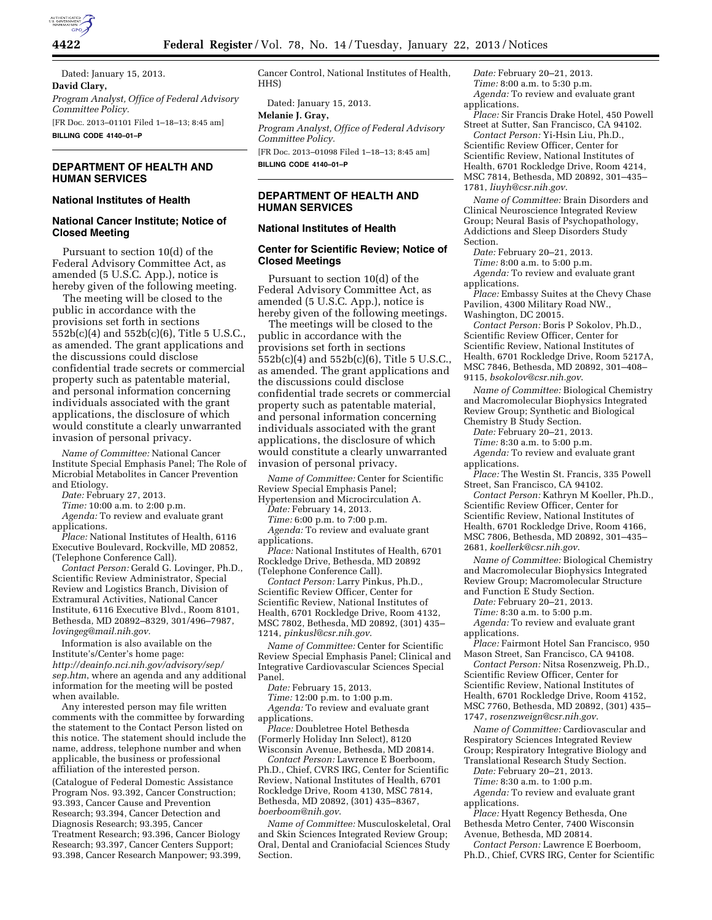

Dated: January 15, 2013. **David Clary,**  *Program Analyst, Office of Federal Advisory Committee Policy.*  [FR Doc. 2013–01101 Filed 1–18–13; 8:45 am] **BILLING CODE 4140–01–P** 

# **DEPARTMENT OF HEALTH AND HUMAN SERVICES**

# **National Institutes of Health**

## **National Cancer Institute; Notice of Closed Meeting**

Pursuant to section 10(d) of the Federal Advisory Committee Act, as amended (5 U.S.C. App.), notice is hereby given of the following meeting.

The meeting will be closed to the public in accordance with the provisions set forth in sections 552b(c)(4) and 552b(c)(6), Title 5 U.S.C., as amended. The grant applications and the discussions could disclose confidential trade secrets or commercial property such as patentable material, and personal information concerning individuals associated with the grant applications, the disclosure of which would constitute a clearly unwarranted invasion of personal privacy.

*Name of Committee:* National Cancer Institute Special Emphasis Panel; The Role of Microbial Metabolites in Cancer Prevention and Etiology.

*Date:* February 27, 2013.

*Time:* 10:00 a.m. to 2:00 p.m.

*Agenda:* To review and evaluate grant applications.

*Place:* National Institutes of Health, 6116 Executive Boulevard, Rockville, MD 20852, (Telephone Conference Call).

*Contact Person:* Gerald G. Lovinger, Ph.D., Scientific Review Administrator, Special Review and Logistics Branch, Division of Extramural Activities, National Cancer Institute, 6116 Executive Blvd., Room 8101, Bethesda, MD 20892–8329, 301/496–7987, *[lovingeg@mail.nih.gov.](mailto:lovingeg@mail.nih.gov)* 

Information is also available on the Institute's/Center's home page: *[http://deainfo.nci.nih.gov/advisory/sep/](http://deainfo.nci.nih.gov/advisory/sep/sep.htm) [sep.htm](http://deainfo.nci.nih.gov/advisory/sep/sep.htm)*, where an agenda and any additional information for the meeting will be posted when available.

Any interested person may file written comments with the committee by forwarding the statement to the Contact Person listed on this notice. The statement should include the name, address, telephone number and when applicable, the business or professional affiliation of the interested person. (Catalogue of Federal Domestic Assistance Program Nos. 93.392, Cancer Construction; 93.393, Cancer Cause and Prevention Research; 93.394, Cancer Detection and Diagnosis Research; 93.395, Cancer Treatment Research; 93.396, Cancer Biology Research; 93.397, Cancer Centers Support; 93.398, Cancer Research Manpower; 93.399,

Cancer Control, National Institutes of Health, HHS)

Dated: January 15, 2013.

#### **Melanie J. Gray,**

*Program Analyst, Office of Federal Advisory Committee Policy.*  [FR Doc. 2013–01098 Filed 1–18–13; 8:45 am]

**BILLING CODE 4140–01–P** 

# **DEPARTMENT OF HEALTH AND HUMAN SERVICES**

# **National Institutes of Health**

# **Center for Scientific Review; Notice of Closed Meetings**

Pursuant to section 10(d) of the Federal Advisory Committee Act, as amended (5 U.S.C. App.), notice is hereby given of the following meetings.

The meetings will be closed to the public in accordance with the provisions set forth in sections 552b(c)(4) and 552b(c)(6), Title 5 U.S.C., as amended. The grant applications and the discussions could disclose confidential trade secrets or commercial property such as patentable material, and personal information concerning individuals associated with the grant applications, the disclosure of which would constitute a clearly unwarranted invasion of personal privacy.

*Name of Committee:* Center for Scientific Review Special Emphasis Panel; Hypertension and Microcirculation A.

*Date:* February 14, 2013.

*Time:* 6:00 p.m. to 7:00 p.m.

*Agenda:* To review and evaluate grant applications.

*Place:* National Institutes of Health, 6701 Rockledge Drive, Bethesda, MD 20892 (Telephone Conference Call).

*Contact Person:* Larry Pinkus, Ph.D., Scientific Review Officer, Center for Scientific Review, National Institutes of Health, 6701 Rockledge Drive, Room 4132, MSC 7802, Bethesda, MD 20892, (301) 435– 1214, *[pinkusl@csr.nih.gov](mailto:pinkusl@csr.nih.gov)*.

*Name of Committee:* Center for Scientific Review Special Emphasis Panel; Clinical and Integrative Cardiovascular Sciences Special Panel.

*Date:* February 15, 2013.

*Time:* 12:00 p.m. to 1:00 p.m. *Agenda:* To review and evaluate grant applications.

*Place:* Doubletree Hotel Bethesda (Formerly Holiday Inn Select), 8120 Wisconsin Avenue, Bethesda, MD 20814.

*Contact Person:* Lawrence E Boerboom, Ph.D., Chief, CVRS IRG, Center for Scientific Review, National Institutes of Health, 6701 Rockledge Drive, Room 4130, MSC 7814, Bethesda, MD 20892, (301) 435–8367, *[boerboom@nih.gov](mailto:boerboom@nih.gov)*.

*Name of Committee:* Musculoskeletal, Oral and Skin Sciences Integrated Review Group; Oral, Dental and Craniofacial Sciences Study Section.

*Date:* February 20–21, 2013. *Time:* 8:00 a.m. to 5:30 p.m. *Agenda:* To review and evaluate grant applications.

*Place:* Sir Francis Drake Hotel, 450 Powell Street at Sutter, San Francisco, CA 94102.

*Contact Person:* Yi-Hsin Liu, Ph.D., Scientific Review Officer, Center for Scientific Review, National Institutes of Health, 6701 Rockledge Drive, Room 4214, MSC 7814, Bethesda, MD 20892, 301–435– 1781, *[liuyh@csr.nih.gov](mailto:liuyh@csr.nih.gov)*.

*Name of Committee:* Brain Disorders and Clinical Neuroscience Integrated Review Group; Neural Basis of Psychopathology, Addictions and Sleep Disorders Study Section.

*Date:* February 20–21, 2013.

*Time:* 8:00 a.m. to 5:00 p.m.

*Agenda:* To review and evaluate grant applications.

*Place:* Embassy Suites at the Chevy Chase Pavilion, 4300 Military Road NW., Washington, DC 20015.

*Contact Person:* Boris P Sokolov, Ph.D., Scientific Review Officer, Center for Scientific Review, National Institutes of Health, 6701 Rockledge Drive, Room 5217A, MSC 7846, Bethesda, MD 20892, 301–408– 9115, *[bsokolov@csr.nih.gov](mailto:bsokolov@csr.nih.gov)*.

*Name of Committee:* Biological Chemistry and Macromolecular Biophysics Integrated Review Group; Synthetic and Biological Chemistry B Study Section.

*Date:* February 20–21, 2013.

*Time:* 8:30 a.m. to 5:00 p.m.

Agenda: To review and evaluate grant applications.

*Place:* The Westin St. Francis, 335 Powell Street, San Francisco, CA 94102.

*Contact Person:* Kathryn M Koeller, Ph.D., Scientific Review Officer, Center for Scientific Review, National Institutes of Health, 6701 Rockledge Drive, Room 4166, MSC 7806, Bethesda, MD 20892, 301–435– 2681, *[koellerk@csr.nih.gov](mailto:koellerk@csr.nih.gov)*.

*Name of Committee:* Biological Chemistry and Macromolecular Biophysics Integrated Review Group; Macromolecular Structure and Function E Study Section.

*Date:* February 20–21, 2013.

*Time:* 8:30 a.m. to 5:00 p.m.

*Agenda:* To review and evaluate grant applications.

*Place:* Fairmont Hotel San Francisco, 950 Mason Street, San Francisco, CA 94108.

*Contact Person:* Nitsa Rosenzweig, Ph.D., Scientific Review Officer, Center for Scientific Review, National Institutes of Health, 6701 Rockledge Drive, Room 4152, MSC 7760, Bethesda, MD 20892, (301) 435– 1747, *[rosenzweign@csr.nih.gov](mailto:rosenzweign@csr.nih.gov)*.

*Name of Committee:* Cardiovascular and Respiratory Sciences Integrated Review Group; Respiratory Integrative Biology and Translational Research Study Section.

*Date:* February 20–21, 2013.

*Time:* 8:30 a.m. to 1:00 p.m.

*Agenda:* To review and evaluate grant applications.

*Place:* Hyatt Regency Bethesda, One Bethesda Metro Center, 7400 Wisconsin Avenue, Bethesda, MD 20814.

*Contact Person:* Lawrence E Boerboom, Ph.D., Chief, CVRS IRG, Center for Scientific